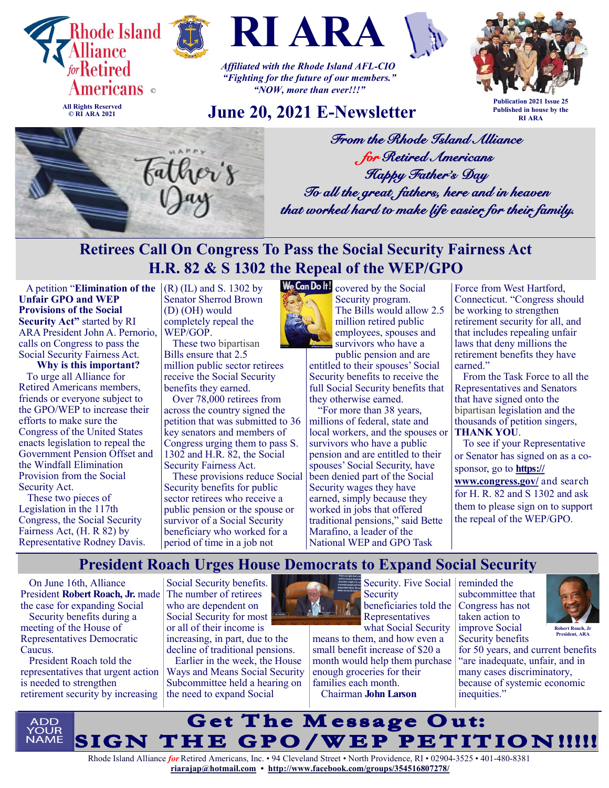

**© RI ARA 2021**





*Affiliated with the Rhode Island AFL-CIO "Fighting for the future of our members." "NOW, more than ever!!!"*

## **June 20, 2021 E-Newsletter**



**Publication 2021 Issue 25 Published in house by the RI ARA**



*From the Rhode Island Alliance for Retired Americans Happy Father's Day To all the great fathers, here and in heaven that worked hard to make life easier for their family.* 

# **Retirees Call On Congress To Pass the Social Security Fairness Act H.R. 82 & S 1302 the Repeal of the WEP/GPO**

A petition "**Elimination of the**  $|(R)(IL)$  and S. 1302 by **Unfair GPO and WEP Provisions of the Social Security Act"** started by RI ARA President John A. Pernorio, calls on Congress to pass the Social Security Fairness Act.

**Why is this important?** To urge all Alliance for Retired Americans members, friends or everyone subject to the GPO/WEP to increase their efforts to make sure the Congress of the United States enacts legislation to repeal the Government Pension Offset and the Windfall Elimination Provision from the Social Security Act.

These two pieces of Legislation in the 117th Congress, the Social Security Fairness Act, (H. R 82) by Representative Rodney Davis.

Senator Sherrod Brown (D) (OH) would completely repeal the WEP/GOP.

These two bipartisan Bills ensure that 2.5 million public sector retirees receive the Social Security benefits they earned.

Over 78,000 retirees from across the country signed the petition that was submitted to 36 key senators and members of Congress urging them to pass S. 1302 and H.R. 82, the Social Security Fairness Act.

These provisions reduce Social Security benefits for public sector retirees who receive a public pension or the spouse or survivor of a Social Security beneficiary who worked for a period of time in a job not



We Can Dolf! covered by the Social Security program. The Bills would allow 2.5 million retired public employees, spouses and survivors who have a public pension and are

entitled to their spouses' Social Security benefits to receive the full Social Security benefits that they otherwise earned.

"For more than 38 years, millions of federal, state and local workers, and the spouses or survivors who have a public pension and are entitled to their spouses' Social Security, have been denied part of the Social Security wages they have earned, simply because they worked in jobs that offered traditional pensions," said Bette Marafino, a leader of the National WEP and GPO Task

Force from West Hartford, Connecticut. "Congress should be working to strengthen retirement security for all, and that includes repealing unfair laws that deny millions the retirement benefits they have earned."

From the Task Force to all the Representatives and Senators that have signed onto the bipartisan legislation and the thousands of petition singers, **THANK YOU**.

To see if your Representative or Senator has signed on as a cosponsor, go to **[https://](https://www.congress.gov/)**

**[www.congress.gov/](https://www.congress.gov/)** and search for H. R. 82 and S 1302 and ask them to please sign on to support the repeal of the WEP/GPO.

## **President Roach Urges House Democrats to Expand Social Security**

On June 16th, Alliance President **Robert Roach, Jr.** made the case for expanding Social

Security benefits during a meeting of the House of Representatives Democratic Caucus.

President Roach told the representatives that urgent action is needed to strengthen retirement security by increasing

Social Security benefits. The number of retirees who are dependent on Social Security for most or all of their income is

increasing, in part, due to the decline of traditional pensions.

Earlier in the week, the House Ways and Means Social Security Subcommittee held a hearing on the need to expand Social



**Security** beneficiaries told the Representatives

what Social Security means to them, and how even a small benefit increase of \$20 a month would help them purchase enough groceries for their families each month. Chairman **John Larson**

Security. Five Social reminded the subcommittee that Congress has not taken action to improve Social Security benefits



for 50 years, and current benefits **President, ARA**

"are inadequate, unfair, and in many cases discriminatory, because of systemic economic inequities."

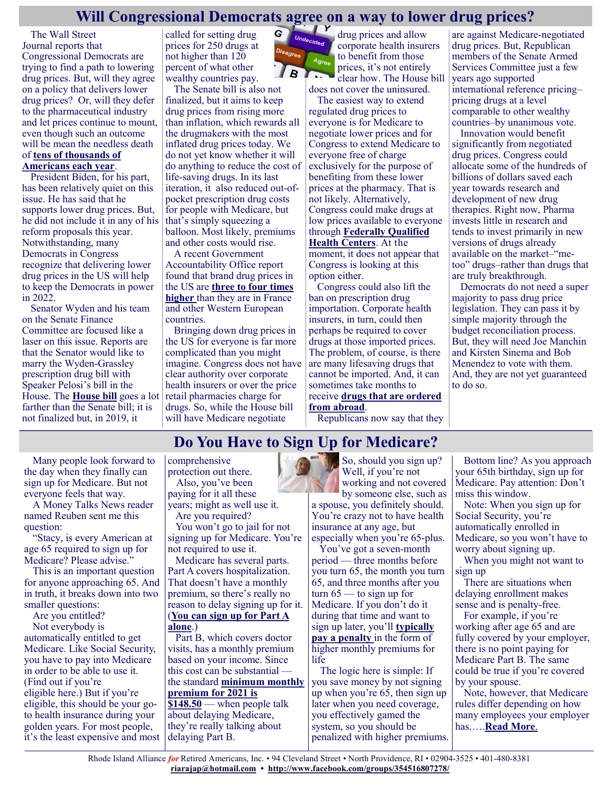## **Will Congressional Democrats agree on a way to lower drug prices?**

G

The [Wall Street](https://www.wsj.com/articles/democrats-strain-to-unify-on-proposal-to-reduce-drug-prices-11622722106)  [Journal](https://www.wsj.com/articles/democrats-strain-to-unify-on-proposal-to-reduce-drug-prices-11622722106) reports that Congressional Democrats are trying to find a path to lowering drug prices. But, will they agree on a policy that delivers lower drug prices? Or, will they defer to the pharmaceutical industry and let prices continue to mount, even though such an outcome will be mean the needless death of **[tens of thousands of](https://justcareusa.org/the-deadly-consequences-of-out-of-pocket-drug-costs/)  [Americans each year](https://justcareusa.org/the-deadly-consequences-of-out-of-pocket-drug-costs/)**.

President Biden, for his part, has been relatively quiet on this issue. He has said that he supports lower drug prices. But, he did not include it in any of his reform proposals this year. Notwithstanding, many Democrats in Congress recognize that delivering lower drug prices in the US will help to keep the Democrats in power in 2022.

Senator Wyden and his team on the Senate Finance Committee are focused like a laser on this issue. Reports are that the Senator would like to marry the Wyden-Grassley prescription drug bill with Speaker Pelosi's bill in the House. The **[House bill](https://justcareusa.org/will-congress-allow-medicare-drug-price-negotiation-in-2021/)** goes a lot farther than the Senate bill; it is not finalized but, in 2019, it

called for setting drug prices for 250 drugs at not higher than 120 percent of what other wealthy countries pay.

The Senate bill is also not finalized, but it aims to keep drug prices from rising more than inflation, which rewards all the drugmakers with the most inflated drug prices today. We do not yet know whether it will do anything to reduce the cost of life-saving drugs. In its last iteration, it also reduced out-ofpocket prescription drug costs for people with Medicare, but that's simply squeezing a balloon. Most likely, premiums and other costs would rise.

A recent Government Accountability Office report found that brand drug prices in the US are **[three to four times](https://justcareusa.org/gao-finds-us-drug-prices-more-than-four-times-those-in-france/)  [higher](https://justcareusa.org/gao-finds-us-drug-prices-more-than-four-times-those-in-france/)** than they are in France and other Western European countries.

Bringing down drug prices in the US for everyone is far more complicated than you might imagine. Congress does not have clear authority over corporate health insurers or over the price retail pharmacies charge for drugs. So, while the House bill will have Medicare negotiate



drug prices and allow corporate health insurers to benefit from those prices, it's not entirely clear how. The House bill does not cover the uninsured.

The easiest way to extend regulated drug prices to everyone is for Medicare to negotiate lower prices and for Congress to extend Medicare to everyone free of charge exclusively for the purpose of benefiting from these lower prices at the pharmacy. That is not likely. Alternatively, Congress could make drugs at low prices available to everyone through **[Federally Qualified](https://justcareusa.org/congress-must-protect-our-community-health-centers/)  [Health Centers](https://justcareusa.org/congress-must-protect-our-community-health-centers/)**. At the moment, it does not appear that

Congress is looking at this option either.

Congress could also lift the ban on prescription drug importation. Corporate health insurers, in turn, could then perhaps be required to cover drugs at those imported prices. The problem, of course, is there are many lifesaving drugs that cannot be imported. And, it can sometimes take months to receive **[drugs that are ordered](https://justcareusa.org/online-pharmacies-can-save-you-money/)  [from abroad](https://justcareusa.org/online-pharmacies-can-save-you-money/)**.

Republicans now say that they

are against Medicare-negotiated drug prices. But, Republican members of the Senate Armed Services Committee just a few years ago supported international reference pricing– pricing drugs at a level comparable to other wealthy countries–by unanimous vote.

Innovation would benefit significantly from negotiated drug prices. Congress could allocate some of the hundreds of billions of dollars saved each year towards research and development of new drug therapies. Right now, Pharma invests little in research and tends to invest primarily in new versions of drugs already available on the market–"metoo" drugs–rather than drugs that are truly breakthrough.

Democrats do not need a super majority to pass drug price legislation. They can pass it by simple majority through the budget reconciliation process. But, they will need Joe Manchin and Kirsten Sinema and Bob Menendez to vote with them. And, they are not yet guaranteed to do so.

# **Do You Have to Sign Up for Medicare?**

Many people look forward to the day when they finally can sign up for Medicare. But not everyone feels that way.

A Money Talks News reader named Reuben sent me this question:

"Stacy, is every American at age 65 required to sign up for Medicare? Please advise."

This is an important question for anyone approaching 65. And in truth, it breaks down into two smaller questions:

Are you entitled?

Not everybody is automatically entitled to get Medicare. Like Social Security, you have to pay into Medicare in order to be able to use it. (Find out if you're eligible [here.](https://www.medicare.gov/eligibilitypremiumcalc/)) But if you're eligible, this should be your goto health insurance during your golden years. For most people, it's the least expensive and most comprehensive protection out there.

Also, you've been paying for it all these years; might as well use it.

Are you required? You won't go to jail for not

signing up for Medicare. You're not required to use it.

Medicare has several parts. Part A covers hospitalization. That doesn't have a monthly premium, so there's really no reason to delay signing up for it. (**[You can sign up for Part A](https://www.ssa.gov/benefits/medicare/)  [alone](https://www.ssa.gov/benefits/medicare/)**.)

Part B, which covers doctor visits, has a monthly premium based on your income. Since this cost can be substantial the standard **[minimum monthly](https://www.moneytalksnews.com/2020-medicare-premiums-and-deductibles/)  [premium for 2021 is](https://www.moneytalksnews.com/2020-medicare-premiums-and-deductibles/)  [\\$148.50](https://www.moneytalksnews.com/2020-medicare-premiums-and-deductibles/)** — when people talk about delaying Medicare, they're really talking about delaying Part B.

So, should you sign up? Well, if you're not working and not covered by someone else, such as

a spouse, you definitely should. You're crazy not to have health insurance at any age, but especially when you're 65-plus.

You've got a seven-month period — three months before you turn 65, the month you turn 65, and three months after you turn  $65$  — to sign up for Medicare. If you don't do it during that time and want to sign up later, you'll **[typically](https://www.medicare.gov/your-medicare-costs/part-b-costs/part-b-late-enrollment-penalty)  [pay a penalty](https://www.medicare.gov/your-medicare-costs/part-b-costs/part-b-late-enrollment-penalty)** in the form of higher monthly premiums for life

The logic here is simple: If you save money by not signing up when you're 65, then sign up later when you need coverage, you effectively gamed the system, so you should be penalized with higher premiums.

Bottom line? As you approach your 65th birthday, sign up for Medicare. Pay attention: Don't miss this window.

Note: When you sign up for Social Security, you're automatically enrolled in Medicare, so you won't have to worry about signing up.

When you might not want to sign up

There are situations when delaying enrollment makes sense and is penalty-free.

For example, if you're working after age 65 and are fully covered by your employer, there is no point paying for Medicare Part B. The same could be true if you're covered by your spouse.

Note, however, that Medicare rules differ depending on how many employees your employer has.….**[Read More](https://www.msn.com/en-us/money/personalfinance/do-you-have-to-sign-up-for-medicare/ar-AAKXxMA?ocid=SK2DDHP)**.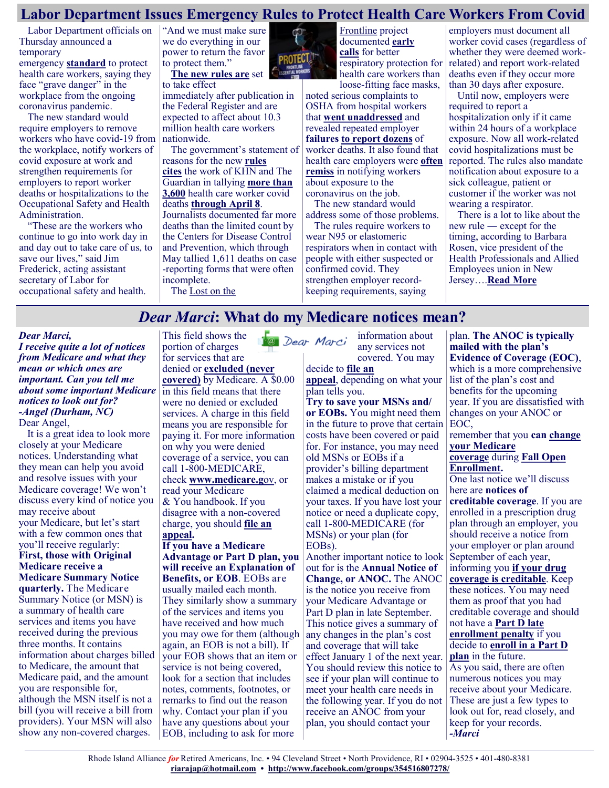#### **Labor Department Issues Emergency Rules to Protect Health Care Workers From Covid**

Labor Department officials on Thursday announced a temporary

emergency **[standard](https://www.osha.gov/coronavirus/ets)** to protect health care workers, saying they face "grave danger" in the workplace from the ongoing coronavirus pandemic.

The new standard would require employers to remove workers who have covid-19 from the workplace, notify workers of covid exposure at work and strengthen requirements for employers to report worker deaths or hospitalizations to the Occupational Safety and Health Administration.

"These are the workers who continue to go into work day in and day out to take care of us, to save our lives," said Jim Frederick, acting assistant secretary of Labor for occupational safety and health.

"And we must make sure we do everything in our power to return the favor to protect them." **[The new rules are](https://www.osha.gov/coronavirus/ets)** set

to take effect

immediately after publication in the Federal Register and are expected to affect about 10.3 million health care workers nationwide.

The government's statement of reasons for the new **[rules](https://www.osha.gov/sites/default/files/covid-19-healthcare-ets-preamble.pdf)  [cites](https://www.osha.gov/sites/default/files/covid-19-healthcare-ets-preamble.pdf)** the work of KHN and The Guardian in tallying **[more than](https://www.theguardian.com/us-news/ng-interactive/2020/aug/11/lost-on-the-frontline-covid-19-coronavirus-us-healthcare-workers-deaths-database)  [3,600](https://www.theguardian.com/us-news/ng-interactive/2020/aug/11/lost-on-the-frontline-covid-19-coronavirus-us-healthcare-workers-deaths-database)** health care worker covid deaths **[through April 8](https://www.theguardian.com/us-news/2021/apr/08/us-health-workers-deaths-covid-lost-on-the-frontline)**.

Journalists documented far more deaths than the limited count by the Centers for Disease Control and Prevention, which through May tallied 1,611 deaths on case -reporting forms that were often incomplete.

The [Lost on the](https://khn.org/news/tag/lost-on-the-frontline/) 



[Frontline](https://khn.org/news/tag/lost-on-the-frontline/) project documented **[early](https://khn.org/news/widely-used-surgical-masks-are-putting-health-care-workers-at-serious-risk/)  [calls](https://khn.org/news/widely-used-surgical-masks-are-putting-health-care-workers-at-serious-risk/)** for better respiratory protection for health care workers than loose-fitting face masks,

noted serious complaints to OSHA from hospital workers that **[went unaddressed](https://khn.org/news/osha-investigations-workers-filed-nearly-4000-complaints-about-protective-gear-some-still-died/)** and revealed repeated employer **failures [to report dozens](https://khn.org/news/article/osha-let-employers-decide-whether-to-report-health-care-worker-deaths-many-didnt/)** of worker deaths. It also found that health care employers were **[often](https://khn.org/news/hospital-workers-complain-of-minimal-disclosure-after-covid-exposures/)  [remiss](https://khn.org/news/hospital-workers-complain-of-minimal-disclosure-after-covid-exposures/)** in notifying workers about exposure to the coronavirus on the job.

The new standard would address some of those problems.

The rules require workers to wear N95 or elastomeric respirators when in contact with people with either suspected or confirmed covid. They strengthen employer recordkeeping requirements, saying

employers must document all worker covid cases (regardless of whether they were deemed workrelated) and report work-related deaths even if they occur more than 30 days after exposure.

Until now, employers were required to report a hospitalization only if it came within 24 hours of a workplace exposure. Now all work-related covid hospitalizations must be reported. The rules also mandate notification about exposure to a sick colleague, patient or customer if the worker was not wearing a respirator.

There is a lot to like about the new rule ― except for the timing, according to Barbara Rosen, vice president of the Health Professionals and Allied Employees union in New Jersey….**[Read More](https://khn.org/news/article/labor-department-osha-emergency-rules-protect-health-care-workers-from-covid/)**

#### *Dear Marci***: What do my Medicare notices mean?**

#### *Dear Marci,*

*I receive quite a lot of notices from Medicare and what they mean or which ones are important. Can you tell me about some important Medicare notices to look out for? -Angel (Durham, NC)* Dear Angel,

It is a great idea to look more closely at your Medicare notices. Understanding what they mean can help you avoid and resolve issues with your Medicare coverage! We won't discuss every kind of notice you may receive about your Medicare, but let's start with a few common ones that you'll receive regularly: **First, those with Original Medicare receive a Medicare Summary Notice quarterly.** The Medicare Summary Notice (or MSN) is a summary of health care services and items you have received during the previous three months. It contains information about charges billed to Medicare, the amount that Medicare paid, and the amount you are responsible for, although the MSN itself is not a bill (you will receive a bill from providers). Your MSN will also show any non-covered charges.

This field shows the **Ta** Dear Marci portion of charges for services that are denied or **[excluded \(never](https://medicarerights.us15.list-manage.com/track/click?u=1621f54a596f3717c22815356&id=2c8e446021&e=88d22ba1fe)  [covered\)](https://medicarerights.us15.list-manage.com/track/click?u=1621f54a596f3717c22815356&id=2c8e446021&e=88d22ba1fe)** by Medicare. A \$0.00 in this field means that there were no denied or excluded services. A charge in this field means you are responsible for paying it. For more information on why you were denied coverage of a service, you can call 1-800-MEDICARE, check **[www.medicare.g](https://medicarerights.us15.list-manage.com/track/click?u=1621f54a596f3717c22815356&id=1393aa3abf&e=88d22ba1fe)**ov, or read your Medicare & You handbook. If you disagree with a non-covered charge, you should **[file an](https://medicarerights.us15.list-manage.com/track/click?u=1621f54a596f3717c22815356&id=f3ba64224a&e=88d22ba1fe)  [appeal.](https://medicarerights.us15.list-manage.com/track/click?u=1621f54a596f3717c22815356&id=f3ba64224a&e=88d22ba1fe)**

**If you have a Medicare Advantage or Part D plan, you will receive an Explanation of Benefits, or EOB**. EOBs are usually mailed each month. They similarly show a summary of the services and items you have received and how much you may owe for them (although again, an EOB is not a bill). If your EOB shows that an item or service is not being covered, look for a section that includes notes, comments, footnotes, or remarks to find out the reason why. Contact your plan if you have any questions about your EOB, including to ask for more

information about any services not covered. You may

#### decide to **[file an](https://medicarerights.us15.list-manage.com/track/click?u=1621f54a596f3717c22815356&id=40dc928277&e=88d22ba1fe)**

**[appeal](https://medicarerights.us15.list-manage.com/track/click?u=1621f54a596f3717c22815356&id=40dc928277&e=88d22ba1fe)**, depending on what your plan tells you.

**Try to save your MSNs and/ or EOBs.** You might need them in the future to prove that certain EOC, costs have been covered or paid for. For instance, you may need old MSNs or EOBs if a provider's billing department makes a mistake or if you claimed a medical deduction on your taxes. If you have lost your notice or need a duplicate copy, call 1-800-MEDICARE (for MSNs) or your plan (for EOBs).

Another important notice to look out for is the **Annual Notice of Change, or ANOC.** The ANOC is the notice you receive from your Medicare Advantage or Part D plan in late September. This notice gives a summary of any changes in the plan's cost and coverage that will take effect January 1 of the next year. You should review this notice to see if your plan will continue to meet your health care needs in the following year. If you do not receive an ANOC from your plan, you should contact your

plan. **The ANOC is typically mailed with the plan's Evidence of Coverage (EOC)**, which is a more comprehensive list of the plan's cost and benefits for the upcoming year. If you are dissatisfied with changes on your ANOC or remember that you **can [change](https://medicarerights.us15.list-manage.com/track/click?u=1621f54a596f3717c22815356&id=8da5d5fabd&e=88d22ba1fe)  your [Medicare](https://medicarerights.us15.list-manage.com/track/click?u=1621f54a596f3717c22815356&id=8da5d5fabd&e=88d22ba1fe)  [coverage](https://medicarerights.us15.list-manage.com/track/click?u=1621f54a596f3717c22815356&id=8da5d5fabd&e=88d22ba1fe)** during **[Fall Open](https://medicarerights.us15.list-manage.com/track/click?u=1621f54a596f3717c22815356&id=d741ada287&e=88d22ba1fe)  [Enrollment.](https://medicarerights.us15.list-manage.com/track/click?u=1621f54a596f3717c22815356&id=d741ada287&e=88d22ba1fe)** One last notice we'll discuss here are **notices of creditable coverage**. If you are enrolled in a prescription drug plan through an employer, you should receive a notice from your employer or plan around September of each year, informing you **[if your drug](https://medicarerights.us15.list-manage.com/track/click?u=1621f54a596f3717c22815356&id=366dcfefb7&e=88d22ba1fe)  [coverage is creditable](https://medicarerights.us15.list-manage.com/track/click?u=1621f54a596f3717c22815356&id=366dcfefb7&e=88d22ba1fe)**. Keep these notices. You may need them as proof that you had creditable coverage and should not have a **[Part D late](https://medicarerights.us15.list-manage.com/track/click?u=1621f54a596f3717c22815356&id=aeabc47766&e=88d22ba1fe)  [enrollment penalty](https://medicarerights.us15.list-manage.com/track/click?u=1621f54a596f3717c22815356&id=aeabc47766&e=88d22ba1fe)** if you decide to **[enroll in a Part D](https://medicarerights.us15.list-manage.com/track/click?u=1621f54a596f3717c22815356&id=3454df2ae5&e=88d22ba1fe)  [plan](https://medicarerights.us15.list-manage.com/track/click?u=1621f54a596f3717c22815356&id=3454df2ae5&e=88d22ba1fe)** in the future. As you said, there are often numerous notices you may receive about your Medicare. These are just a few types to look out for, read closely, and keep for your records. *-Marci*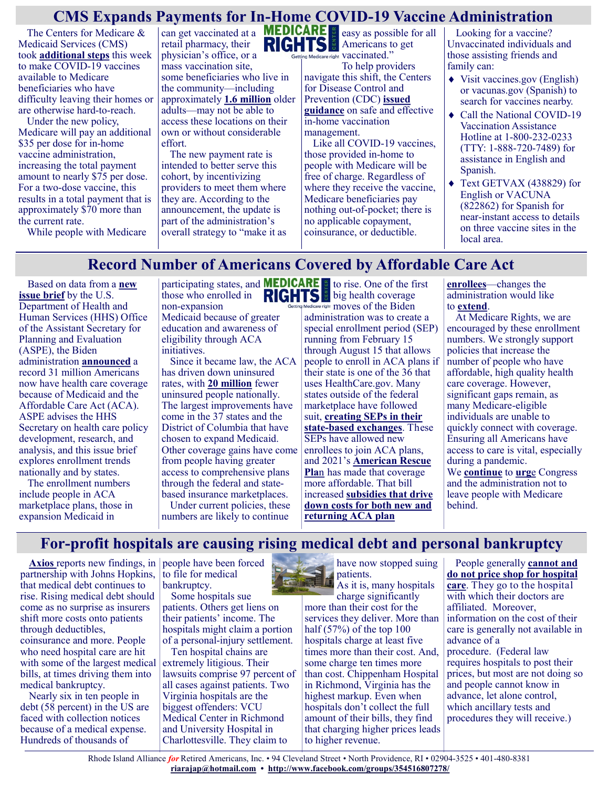## **CMS Expands Payments for In-Home COVID-19 Vaccine Administration**

The Centers for Medicare & Medicaid Services (CMS) took **[additional steps](https://www.cms.gov/newsroom/press-releases/biden-administration-continues-efforts-increase-vaccinations-bolstering-payments-home-covid-19)** this week to make COVID-19 vaccines available to Medicare beneficiaries who have difficulty leaving their homes or are otherwise hard-to-reach.

Under the new policy, Medicare will pay an additional \$35 per dose for in-home vaccine administration, increasing the total payment amount to nearly \$75 per dose. For a two-dose vaccine, this results in a total payment that is approximately \$70 more than the current rate.

While people with Medicare

can get vaccinated at a retail pharmacy, their physician's office, or a mass vaccination site, some beneficiaries who live in the community—including approximately **[1.6 million](https://aspe.hhs.gov/homebound-vaccine-covid)** older adults—may not be able to access these locations on their own or without considerable effort.

The new payment rate is intended to better serve this cohort, by incentivizing providers to meet them where they are. According to the announcement, the update is part of the administration's overall strategy to "make it as



easy as possible for all Americans to get Getting Medicare right Vaccinated."

To help providers navigate this shift, the Centers for Disease Control and Prevention (CDC) **[issued](https://www.cdc.gov/vaccines/covid-19/clinical-considerations/homebound-persons.html)  [guidance](https://www.cdc.gov/vaccines/covid-19/clinical-considerations/homebound-persons.html)** on safe and effective in-home vaccination management.

Like all COVID-19 vaccines, those provided in-home to people with Medicare will be free of charge. Regardless of where they receive the vaccine, Medicare beneficiaries pay nothing out-of-pocket; there is no applicable copayment, coinsurance, or deductible.

Looking for a vaccine? Unvaccinated individuals and those assisting friends and family can:

- ◆ Visit vaccines.gov (English) or vacunas.gov (Spanish) to search for vaccines nearby.
- Call the National COVID-19 Vaccination Assistance Hotline at 1-800-232-0233 (TTY: 1-888-720-7489) for assistance in English and Spanish.
- Text GETVAX (438829) for English or VACUNA (822862) for Spanish for near-instant access to details on three vaccine sites in the local area.

#### **Record Number of Americans Covered by Affordable Care Act**

Based on data from a **[new](https://aspe.hhs.gov/system/files/pdf/265671/ASPE%20Issue%20Brief-ACA-Related%20Coverage%20by%20State.pdf)  [issue brief](https://aspe.hhs.gov/system/files/pdf/265671/ASPE%20Issue%20Brief-ACA-Related%20Coverage%20by%20State.pdf)** by the U.S. Department of Health and Human Services (HHS) Office of the Assistant Secretary for Planning and Evaluation (ASPE), the Biden administration **[announced](https://www.hhs.gov/about/news/2021/06/05/new-hhs-data-show-more-americans-than-ever-have-health-coverage-through-affordable-care-act.html)** a record 31 million Americans now have health care coverage because of Medicaid and the Affordable Care Act (ACA). ASPE advises the HHS Secretary on health care policy development, research, and analysis, and this issue brief explores enrollment trends nationally and by states.

The enrollment numbers include people in ACA marketplace plans, those in expansion Medicaid in

participating states, and those who enrolled in non-expansion Medicaid because of greater education and awareness of eligibility through ACA initiatives.

Since it became law, the ACA has driven down uninsured rates, with **[20 million](https://www.kff.org/report-section/the-uninsured-and-the-aca-a-primer-key-facts-about-health-insurance-and-the-uninsured-amidst-changes-to-the-affordable-care-act-how-many-people-are-uninsured/)** fewer uninsured people nationally. The largest improvements have come in the 37 states and the District of Columbia that have chosen to expand Medicaid. Other coverage gains have come from people having greater access to comprehensive plans through the federal and statebased insurance marketplaces.

Under current policies, these numbers are likely to continue

to rise. One of the first big health coverage right moves of the Biden

administration was to create a special enrollment period (SEP) running from February 15 through August 15 that allows people to enroll in ACA plans if their state is one of the 36 that uses HealthCare.gov. Many states outside of the federal marketplace have followed suit, **[creating SEPs in their](https://www.marylandhealthconnection.gov/how-to-enroll/special-enrollment/coronavirus-special-enrollment/)  state-[based exchanges](https://www.marylandhealthconnection.gov/how-to-enroll/special-enrollment/coronavirus-special-enrollment/)**. These SEPs have allowed new enrollees to join ACA plans, and 2021's **[American Rescue](https://www.medicarerights.org/medicare-watch/2021/03/25/how-the-covid-19-relief-bill-helps-older-adults-and-people-with-disabilities)  [Pla](https://www.medicarerights.org/medicare-watch/2021/03/25/how-the-covid-19-relief-bill-helps-older-adults-and-people-with-disabilities)**n has made that coverage more affordable. That bill increased **[subsidies that drive](https://www.cnn.com/2021/03/31/politics/affordable-care-act-subsidies-stimulus-april-1/index.html)  [down costs for both new and](https://www.cnn.com/2021/03/31/politics/affordable-care-act-subsidies-stimulus-april-1/index.html)  [returning ACA plan](https://www.cnn.com/2021/03/31/politics/affordable-care-act-subsidies-stimulus-april-1/index.html)** 

**[enrollees](https://www.cnn.com/2021/03/31/politics/affordable-care-act-subsidies-stimulus-april-1/index.html)**—changes the administration would like to **[extend](https://www.whitehouse.gov/american-families-plan/)**.

At Medicare Rights, we are encouraged by these enrollment numbers. We strongly support policies that increase the number of people who have affordable, high quality health care coverage. However, significant gaps remain, as many Medicare-eligible individuals are unable to quickly connect with coverage. Ensuring all Americans have access to care is vital, especially during a pandemic. We **[continue](https://www.medicarerights.org/medicare-watch/2021/02/11/medicare-rights-center-asks-biden-administration-to-take-swift-action-on-several-urgent-policy-matters)** to **[urg](https://www.medicarerights.org/medicare-watch/2021/02/04/recent-steps-to-improve-access-to-the-federal-marketplace-should-be-expanded-to-include-medicare)**e Congress and the administration not to leave people with Medicare

behind.

## **For-profit hospitals are causing rising medical debt and personal bankruptcy**

**[Axios](https://www.axios.com/newsletters/axios-am-d00fe589-7938-416f-bee9-b7e80e83c3b6.html)** reports new findings, in people have been forced partnership with Johns Hopkins, that medical debt continues to rise. Rising medical debt should come as no surprise as insurers shift more costs onto patients through deductibles, coinsurance and more. People who need hospital care are hit with some of the largest medical bills, at times driving them into medical bankruptcy.

Nearly six in ten people in debt (58 percent) in the US are faced with collection notices because of a medical expense. Hundreds of thousands of

to file for medical bankruptcy.

Some hospitals sue patients. Others get liens on their patients' income. The hospitals might claim a portion of a personal-injury settlement.

Ten hospital chains are extremely litigious. Their lawsuits comprise 97 percent of all cases against patients. Two Virginia hospitals are the biggest offenders: VCU Medical Center in Richmond and University Hospital in Charlottesville. They claim to



have now stopped suing

As it is, many hospitals charge significantly more than their cost for the services they deliver. More than half (57%) of the top 100 hospitals charge at least five times more than their cost. And, some charge ten times more than cost. Chippenham Hospital in Richmond, Virginia has the highest markup. Even when hospitals don't collect the full amount of their bills, they find that charging higher prices leads to higher revenue.

People generally **[cannot and](https://www.healthsystemtracker.org/brief/early-results-from-federal-price-transparency-rule-show-difficultly-in-estimating-the-cost-of-care/)  [do not price shop for hospital](https://www.healthsystemtracker.org/brief/early-results-from-federal-price-transparency-rule-show-difficultly-in-estimating-the-cost-of-care/)  [care](https://www.healthsystemtracker.org/brief/early-results-from-federal-price-transparency-rule-show-difficultly-in-estimating-the-cost-of-care/)**. They go to the hospital with which their doctors are affiliated. Moreover, information on the cost of their care is generally not available in advance of a procedure. (Federal law requires hospitals to post their prices, but most are not doing so and people cannot know in advance, let alone control, which ancillary tests and procedures they will receive.)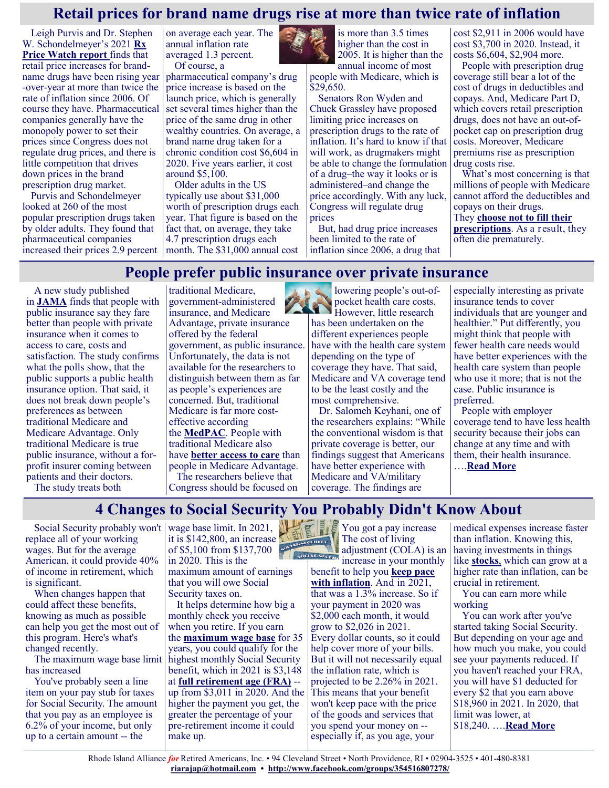#### **Retail prices for brand name drugs rise at more than twice rate of inflation**

Leigh Purvis and Dr. Stephen W. Schondelmeyer's 2021 **[Rx](https://www.aarp.org/content/dam/aarp/ppi/2021/06/trends-in-retail-prices-of-brand-name-prescription-drugs-widely-used-by-older-americans.10.26419-2Fppi.00143.001.pdf)  [Price Watch report](https://www.aarp.org/content/dam/aarp/ppi/2021/06/trends-in-retail-prices-of-brand-name-prescription-drugs-widely-used-by-older-americans.10.26419-2Fppi.00143.001.pdf)** finds that retail price increases for brandname drugs have been rising year -over-year at more than twice the rate of inflation since 2006. Of course they have. Pharmaceutical companies generally have the monopoly power to set their prices since Congress does not regulate drug prices, and there is little competition that drives down prices in the brand prescription drug market.

Purvis and Schondelmeyer looked at 260 of the most popular prescription drugs taken by older adults. They found that pharmaceutical companies

on average each year. The annual inflation rate averaged 1.3 percent. Of course, a

pharmaceutical company's drug price increase is based on the launch price, which is generally set several times higher than the price of the same drug in other wealthy countries. On average, a brand name drug taken for a chronic condition cost \$6,604 in 2020. Five years earlier, it cost around \$5,100.

increased their prices 2.9 percent month. The \$31,000 annual cost Older adults in the US typically use about \$31,000 worth of prescription drugs each year. That figure is based on the fact that, on average, they take 4.7 prescription drugs each

> government, as public insurance. Unfortunately, the data is not

is more than 3.5 times higher than the cost in 2005. It is higher than the annual income of most

people with Medicare, which is  $$29,650.$ 

Senators Ron Wyden and Chuck Grassley have proposed limiting price increases on prescription drugs to the rate of inflation. It's hard to know if that will work, as drugmakers might be able to change the formulation of a drug–the way it looks or is administered–and change the price accordingly. With any luck, Congress will regulate drug prices

But, had drug price increases been limited to the rate of inflation since 2006, a drug that cost \$2,911 in 2006 would have cost \$3,700 in 2020. Instead, it costs \$6,604, \$2,904 more.

People with prescription drug coverage still bear a lot of the cost of drugs in deductibles and copays. And, Medicare Part D, which covers retail prescription drugs, does not have an out-ofpocket cap on prescription drug costs. Moreover, Medicare premiums rise as prescription drug costs rise.

What's most concerning is that millions of people with Medicare cannot afford the deductibles and copays on their drugs.

They **[choose not to fill their](https://justcareusa.org/the-deadly-consequences-of-out-of-pocket-drug-costs/)  [prescriptions](https://justcareusa.org/the-deadly-consequences-of-out-of-pocket-drug-costs/)**. As a result, they often die prematurely.

#### **People prefer public insurance over private insurance**

A new study published in **[JAMA](https://jamanetwork.com/journals/jamanetworkopen/fullarticle/2780540)** finds that people with public insurance say they fare better than people with private insurance when it comes to access to care, costs and satisfaction. The study confirms what the polls show, that the public supports a public health insurance option. That said, it does not break down people's preferences as between traditional Medicare and Medicare Advantage. Only traditional Medicare is true public insurance, without a forprofit insurer coming between patients and their doctors. The study treats both

available for the researchers to distinguish between them as far as people's experiences are concerned. But, traditional Medicare is far more costeffective according the **[MedPAC](https://justcareusa.org/medpac-traditional-medicare-consistently-costs-less-than-medicare-advantage/)**. People with traditional Medicare also have **[better access to care](https://justcareusa.org/if-you-want-easy-health-care-access-and-good-quality-care-you-probably-want-traditional-medicare/)** than people in Medicare Advantage.

traditional Medicare, government-administered insurance, and Medicare Advantage, private insurance offered by the federal

The researchers believe that Congress should be focused on

lowering people's out-ofpocket health care costs. However, little research has been undertaken on the different experiences people have with the health care system depending on the type of coverage they have. That said, Medicare and VA coverage tend to be the least costly and the most comprehensive.

Dr. Salomeh Keyhani, one of the researchers explains: "While the conventional wisdom is that private coverage is better, our findings suggest that Americans have better experience with Medicare and VA/military coverage. The findings are

especially interesting as private insurance tends to cover individuals that are younger and healthier." Put differently, you might think that people with fewer health care needs would have better experiences with the health care system than people who use it more; that is not the case. Public insurance is preferred.

People with employer coverage tend to have less health security because their jobs can change at any time and with them, their health insurance. ….**[Read More](https://justcareusa.org/people-prefer-public-insurance-over-private-insurance/)**

## **4 Changes to Social Security You Probably Didn't Know About**

Social Security probably won't wage base limit. In 2021, replace all of your working wages. But for the average American, it could provide 40% of income in retirement, which is significant.

When changes happen that could affect these benefits, knowing as much as possible can help you get the most out of this program. Here's what's changed recently.

has increased

You've probably seen a line item on your pay stub for taxes for Social Security. The amount that you pay as an employee is 6.2% of your income, but only up to a certain amount -- the

wage base limit. In 2021, it is \$142,800, an increase of \$5,100 from \$137,700 in 2020. This is the maximum amount of earnings that you will owe Social Security taxes on.

The maximum wage base limit highest monthly Social Security It helps determine how big a monthly check you receive when you retire. If you earn the **[maximum wage base](https://www.fool.com/investing/2021/06/05/2-changes-to-social-security-you-probably-didnt-kn/#:~:text=The%20wage%20base%20limit%20is,it%20went%20up%20to%20%24142%2C800.?utm_source=msnrss&utm_medium=feed&utm_campaign=article&referring_guid=a60b58e0-647e-4132-9)** for 35 years, you could qualify for the benefit, which in 2021 is \$3,148 at **[full retirement age \(FRA\)](https://www.fool.com/retirement/social-security/full-retirement-age/?utm_source=msnrss&utm_medium=feed&utm_campaign=article&referring_guid=a60b58e0-647e-4132-9fb6-744cd5fb1464)** - up from \$3,011 in 2020. And the higher the payment you get, the greater the percentage of your pre-retirement income it could make up.

You got a pay increase The cost of living adjustment (COLA) is an

social species in your monthly benefit to help you **[keep pace](https://www.fool.com/investing/how-to-invest/inflation/?utm_source=msnrss&utm_medium=feed&utm_campaign=article&referring_guid=a60b58e0-647e-4132-9fb6-744cd5fb1464)  [with inflation](https://www.fool.com/investing/how-to-invest/inflation/?utm_source=msnrss&utm_medium=feed&utm_campaign=article&referring_guid=a60b58e0-647e-4132-9fb6-744cd5fb1464)**. And in 2021, that was a 1.3% increase. So if your payment in 2020 was \$2,000 each month, it would grow to \$2,026 in 2021. Every dollar counts, so it could help cover more of your bills. But it will not necessarily equal the inflation rate, which is projected to be 2.26% in 2021. This means that your benefit won't keep pace with the price of the goods and services that you spend your money on - especially if, as you age, your

medical expenses increase faster than inflation. Knowing this, having investments in things like **[stocks](https://www.fool.com/investing/how-to-invest/stocks/?utm_source=msnrss&utm_medium=feed&utm_campaign=article&referring_guid=a60b58e0-647e-4132-9fb6-744cd5fb1464)**, which can grow at a higher rate than inflation, can be crucial in retirement.

You can earn more while working

You can work after you've started taking [Social Security.](https://www.fool.com/retirement/social-security/?utm_source=msnrss&utm_medium=feed&utm_campaign=article&referring_guid=a60b58e0-647e-4132-9fb6-744cd5fb1464)  But depending on your age and how much you make, you could see your payments reduced. If you haven't reached your FRA, you will have \$1 deducted for every \$2 that you earn above \$18,960 in 2021. In 2020, that limit was lower, at \$18,240. ….**[Read More](https://www.msn.com/en-us/money/retirement/4-changes-to-social-security-you-probably-didn-t-know-about/ar-AAKWbbl?ocid=SK2DDHP)**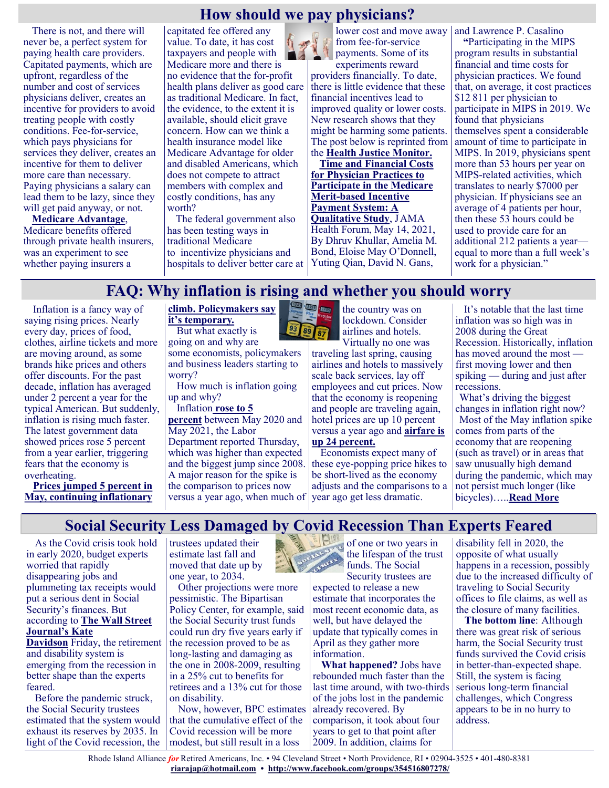#### **How should we pay physicians?**

There is not, and there will never be, a perfect system for paying health care providers. Capitated payments, which are upfront, regardless of the number and cost of services physicians deliver, creates an incentive for providers to avoid treating people with costly conditions. Fee-for-service, which pays physicians for services they deliver, creates an incentive for them to deliver more care than necessary. Paying physicians a salary can lead them to be lazy, since they will get paid anyway, or not.

**[Medicare Advantage](https://justcareusa.org/well-kept-secrets-of-medicare-advantage-plans/)**, Medicare benefits offered through private health insurers, was an experiment to see whether paying insurers a

capitated fee offered any value. To date, it has cost taxpayers and people with Medicare more and there is no evidence that the for-profit health plans deliver as good care as traditional Medicare. In fact, the evidence, to the extent it is available, should elicit grave concern. How can we think a health insurance model like Medicare Advantage for older and disabled Americans, which does not compete to attract members with complex and costly conditions, has any worth?

The federal government also has been testing ways in traditional Medicare to incentivize physicians and hospitals to deliver better care at

lower cost and move away from fee-for-service payments. Some of its experiments reward

providers financially. To date, there is little evidence that these financial incentives lead to improved quality or lower costs. New research shows that they might be harming some patients. The post below is reprinted from the **[Health Justice Monitor.](http://healthjusticemonitor.org/)**

**[Time and Financial Costs](https://healthjusticemonitor.us1.list-manage.com/track/click?u=cae609fd2236fc0891447739d&id=b69f728884&e=b1a6c23f23)  [for Physician Practices to](https://healthjusticemonitor.us1.list-manage.com/track/click?u=cae609fd2236fc0891447739d&id=b69f728884&e=b1a6c23f23)  [Participate in the Medicare](https://healthjusticemonitor.us1.list-manage.com/track/click?u=cae609fd2236fc0891447739d&id=b69f728884&e=b1a6c23f23)  Merit-[based Incentive](https://healthjusticemonitor.us1.list-manage.com/track/click?u=cae609fd2236fc0891447739d&id=b69f728884&e=b1a6c23f23)  [Payment System: A](https://healthjusticemonitor.us1.list-manage.com/track/click?u=cae609fd2236fc0891447739d&id=b69f728884&e=b1a6c23f23)  [Qualitative Study](https://healthjusticemonitor.us1.list-manage.com/track/click?u=cae609fd2236fc0891447739d&id=b69f728884&e=b1a6c23f23)**, JAMA Health Forum, May 14, 2021, By Dhruv Khullar, Amelia M. Bond, Eloise May O'Donnell, Yuting Qian, David N. Gans,

and Lawrence P. Casalino

**"**Participating in the MIPS program results in substantial financial and time costs for physician practices. We found that, on average, it cost practices \$12 811 per physician to participate in MIPS in 2019. We found that physicians themselves spent a considerable amount of time to participate in MIPS. In 2019, physicians spent more than 53 hours per year on MIPS-related activities, which translates to nearly \$7000 per physician. If physicians see an average of 4 patients per hour, then these 53 hours could be used to provide care for an additional 212 patients a year equal to more than a full week's work for a physician."

## **FAQ: Why inflation is rising and whether you should worry**

Inflation is a fancy way of saying rising prices. Nearly every day, prices of food, clothes, airline tickets and more are moving around, as some brands hike prices and others offer discounts. For the past decade, inflation has averaged under 2 percent a year for the typical American. But suddenly, inflation is rising much faster. The latest government data showed prices rose 5 percent from a year earlier, triggering fears that the economy is overheating.

**[Prices jumped 5 percent in](https://www.washingtonpost.com/business/2021/06/10/inflation-cpi-may-prices/)  [May, continuing inflationary](https://www.washingtonpost.com/business/2021/06/10/inflation-cpi-may-prices/)** 

#### **[climb. Policymakers say](https://www.washingtonpost.com/business/2021/06/10/inflation-cpi-may-prices/)  [it's temporary.](https://www.washingtonpost.com/business/2021/06/10/inflation-cpi-may-prices/)**

But what exactly is going on and why are some economists, policymakers and business leaders starting to worry?

How much is inflation going up and why?

#### Inflation **[rose to 5](https://www.washingtonpost.com/business/2021/06/10/inflation-cpi-may-prices/)**

**[percent](https://www.washingtonpost.com/business/2021/06/10/inflation-cpi-may-prices/)** between May 2020 and May 2021, the Labor Department reported Thursday, which was higher than expected and the biggest jump since 2008. A major reason for the spike is the comparison to prices now versus a year ago, when much of year ago get less dramatic.



lockdown. Consider airlines and hotels. Virtually no one was

traveling last spring, causing airlines and hotels to massively scale back services, lay off employees and cut prices. Now that the economy is reopening and [people are traveling again,](https://www.washingtonpost.com/lifestyle/travel/traveler-priorities-summer-travel-2021/2021/05/19/22fd9ad2-b336-11eb-9059-d8176b9e3798_story.html) hotel prices are up 10 percent versus a year ago and **[airfare is](https://www.washingtonpost.com/travel/2021/04/02/cheap-summer-flights-vaccinated-travel/)  [up 24 percent.](https://www.washingtonpost.com/travel/2021/04/02/cheap-summer-flights-vaccinated-travel/)**

Economists expect many of these eye-popping price hikes to be short-lived as the economy adjusts and the comparisons to a

It's notable that the last time inflation was so high was in 2008 during the Great Recession. Historically, inflation has moved around the most first moving lower and then spiking — during and just after recessions.

What's driving the biggest changes in inflation right now? Most of the May inflation spike comes from parts of the economy that are reopening (such as travel) or in areas that saw unusually high demand during the pandemic, which may not persist much longer (like bicycles)…..**[Read More](https://www.msn.com/en-us/money/markets/faq-why-inflation-is-rising-and-whether-you-should-worry/ar-AAKUPIF?ocid=SK2DDHP)**

**Social Security Less Damaged by Covid Recession Than Experts Feared**

As the Covid crisis took hold in early 2020, budget experts worried that rapidly disappearing jobs and plummeting tax receipts would put a serious dent in Social Security's finances. But according to **[The Wall Street](https://www.wsj.com/articles/social-security-weathered-covid-19-better-than-expected-but-long-term-challenges-remain-11623415185)  [Journal's Kate](https://www.wsj.com/articles/social-security-weathered-covid-19-better-than-expected-but-long-term-challenges-remain-11623415185)** 

**[Davidson](https://www.wsj.com/articles/social-security-weathered-covid-19-better-than-expected-but-long-term-challenges-remain-11623415185)** Friday, the retirement and disability system is emerging from the recession in better shape than the experts feared.

Before the pandemic struck, the Social Security trustees estimated that the system would exhaust its reserves by 2035. In light of the Covid recession, the trustees updated their estimate last fall and moved that date up by one year, to 2034.

Other projections were more pessimistic. The Bipartisan Policy Center, for example, said the Social Security trust funds could run dry five years early if the recession proved to be as long-lasting and damaging as the one in 2008-2009, resulting in a 25% cut to benefits for retirees and a 13% cut for those on disability.

Now, however, BPC estimates that the cumulative effect of the Covid recession will be more modest, but still result in a loss



Security trustees are expected to release a new estimate that incorporates the most recent economic data, as well, but have delayed the update that typically comes in April as they gather more information.

**What happened?** Jobs have rebounded much faster than the last time around, with two-thirds of the jobs lost in the pandemic already recovered. By comparison, it took about four years to get to that point after 2009. In addition, claims for

disability fell in 2020, the opposite of what usually happens in a recession, possibly due to the increased difficulty of traveling to Social Security offices to file claims, as well as the closure of many facilities.

**The bottom line**: Although there was great risk of serious harm, the Social Security trust funds survived the Covid crisis in better-than-expected shape. Still, the system is facing serious long-term financial challenges, which Congress appears to be in no hurry to address.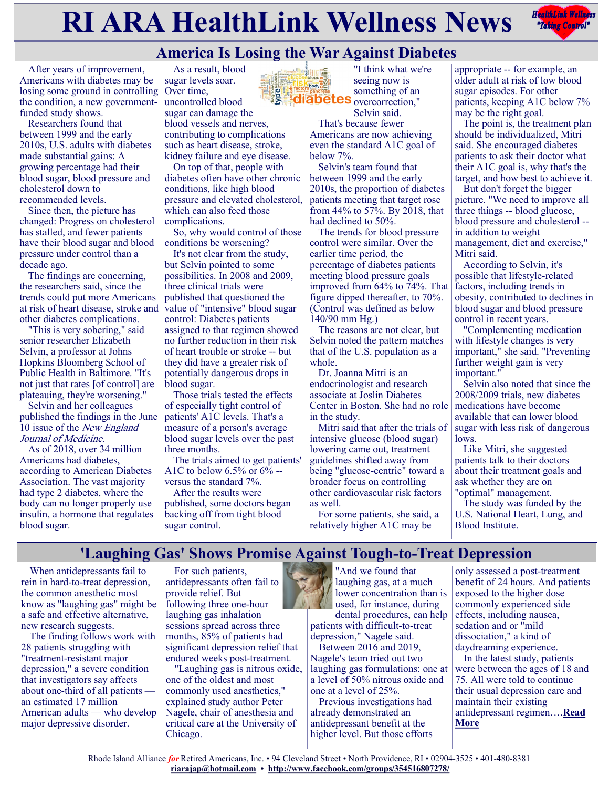# **RIARA HealthLink Wellness News** *Rediction Rediction***ly <b>Rediction Rediction Rediction Rediction Rediction Rediction Rediction Rediction Rediction Rediction Rediction Rediction Rediction Re**

**Example 18 April 2018** 



After years of improvement, Americans with diabetes may be losing some ground in controlling the condition, a new governmentfunded study shows.

Researchers found that between 1999 and the early 2010s, U.S. adults with diabetes made substantial gains: A growing percentage had their blood sugar, blood pressure and cholesterol down to recommended levels.

Since then, the picture has changed: Progress on cholesterol has stalled, and fewer patients have their blood sugar and blood pressure under control than a decade ago.

The findings are concerning, the researchers said, since the trends could put more Americans at risk of heart disease, stroke and other diabetes complications.

"This is very sobering," said senior researcher Elizabeth Selvin, a professor at Johns Hopkins Bloomberg School of Public Health in Baltimore. "It's not just that rates [of control] are plateauing, they're worsening."

Selvin and her colleagues published the findings in the June 10 issue of the New England Journal of Medicine.

As of 2018, over 34 million Americans had diabetes, according to American Diabetes Association. The vast majority had type 2 diabetes, where the body can no longer properly use insulin, a hormone that regulates blood sugar.

As a result, blood sugar levels soar. Over time, uncontrolled blood

sugar can damage the blood vessels and nerves, contributing to complications such as heart disease, stroke, kidney failure and eye disease.

On top of that, people with diabetes often have other chronic conditions, like high blood pressure and elevated cholesterol, which can also feed those complications.

So, why would control of those conditions be worsening?

It's not clear from the study, but Selvin pointed to some possibilities. In 2008 and 2009, three clinical trials were published that questioned the value of "intensive" blood sugar control: Diabetes patients assigned to that regimen showed no further reduction in their risk of heart trouble or stroke -- but they did have a greater risk of potentially dangerous drops in blood sugar.

Those trials tested the effects of especially tight control of patients' A1C levels. That's a measure of a person's average blood sugar levels over the past three months.

The trials aimed to get patients' A1C to below 6.5% or  $6\%$  -versus the standard 7%.

After the results were published, some doctors began backing off from tight blood sugar control.

"I think what we're seeing now is something of an overcorrection,"

Selvin said. That's because fewer Americans are now achieving even the standard A1C goal of below 7%.

Selvin's team found that between 1999 and the early 2010s, the proportion of diabetes patients meeting that target rose from 44% to 57%. By 2018, that had declined to 50%.

The trends for blood pressure control were similar. Over the earlier time period, the percentage of diabetes patients meeting blood pressure goals improved from 64% to 74%. That figure dipped thereafter, to 70%. (Control was defined as below 140/90 mm Hg.)

The reasons are not clear, but Selvin noted the pattern matches that of the U.S. population as a whole.

Dr. Joanna Mitri is an endocrinologist and research associate at Joslin Diabetes Center in Boston. She had no role in the study.

Mitri said that after the trials of intensive glucose (blood sugar) lowering came out, treatment guidelines shifted away from being "glucose-centric" toward a broader focus on controlling other cardiovascular risk factors as well.

For some patients, she said, a relatively higher A1C may be

appropriate -- for example, an older adult at risk of low blood sugar episodes. For other patients, keeping A1C below 7% may be the right goal.

The point is, the treatment plan should be individualized, Mitri said. She encouraged diabetes patients to ask their doctor what their A1C goal is, why that's the target, and how best to achieve it.

But don't forget the bigger picture. "We need to improve all three things -- blood glucose, blood pressure and cholesterol - in addition to weight management, diet and exercise," Mitri said.

According to Selvin, it's possible that lifestyle-related factors, including trends in obesity, contributed to declines in blood sugar and blood pressure control in recent years.

"Complementing medication with lifestyle changes is very important," she said. "Preventing further weight gain is very important."

Selvin also noted that since the 2008/2009 trials, new diabetes medications have become available that can lower blood sugar with less risk of dangerous lows.

Like Mitri, she suggested patients talk to their doctors about their treatment goals and ask whether they are on "optimal" management.

The study was funded by the U.S. National Heart, Lung, and Blood Institute.

### **'Laughing Gas' Shows Promise Against Tough-to-Treat Depression**

When antidepressants fail to rein in hard-to-treat depression, the common anesthetic most know as "laughing gas" might be a safe and effective alternative, new research suggests.

The finding follows work with 28 patients struggling with "treatment-resistant major depression," a severe condition that investigators say affects about one-third of all patients an estimated 17 million American adults — who develop major depressive disorder.

For such patients, antidepressants often fail to provide relief. But following three one-hour laughing gas inhalation sessions spread across three months, 85% of patients had significant depression relief that endured weeks post-treatment.

"Laughing gas is nitrous oxide, one of the oldest and most commonly used anesthetics," explained study author Peter Nagele, chair of anesthesia and critical care at the University of Chicago.



dental procedures, can help patients with difficult-to-treat depression," Nagele said.

Between 2016 and 2019, Nagele's team tried out two laughing gas formulations: one at a level of 50% nitrous oxide and one at a level of 25%.

Previous investigations had already demonstrated an antidepressant benefit at the higher level. But those efforts

only assessed a post-treatment benefit of 24 hours. And patients exposed to the higher dose commonly experienced side effects, including nausea, sedation and or "mild dissociation," a kind of daydreaming experience.

In the latest study, patients were between the ages of 18 and 75. All were told to continue their usual depression care and maintain their existing antidepressant regimen….**[Read](https://consumer.healthday.com/6-10-laughing-gas-shows-promise-against-tough-to-treat-depression-2653260551.html)  [More](https://consumer.healthday.com/6-10-laughing-gas-shows-promise-against-tough-to-treat-depression-2653260551.html)**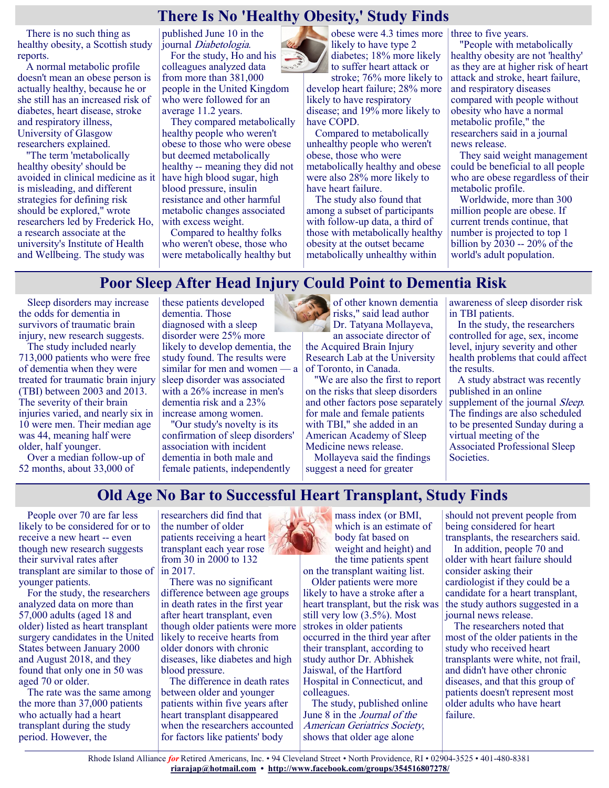## **There Is No 'Healthy Obesity,' Study Finds**

There is no such thing as healthy obesity, a Scottish study reports.

A normal metabolic profile doesn't mean an obese person is actually healthy, because he or she still has an increased risk of diabetes, heart disease, stroke and respiratory illness, University of Glasgow researchers explained.

"The term 'metabolically healthy obesity' should be avoided in clinical medicine as it is misleading, and different strategies for defining risk should be explored," wrote researchers led by Frederick Ho, a research associate at the university's Institute of Health and Wellbeing. The study was

published June 10 in the journal Diabetologia.

For the study, Ho and his colleagues analyzed data from more than 381,000 people in the United Kingdom who were followed for an average 11.2 years.

They compared metabolically healthy people who weren't obese to those who were obese but deemed metabolically healthy -- meaning they did not have high blood sugar, high blood pressure, insulin resistance and other harmful metabolic changes associated with excess weight.

Compared to healthy folks who weren't obese, those who were metabolically healthy but



diabetes; 18% more likely to suffer heart attack or stroke; 76% more likely to develop heart failure; 28% more

likely to have respiratory disease; and 19% more likely to have COPD.

Compared to metabolically unhealthy people who weren't obese, those who were metabolically healthy and obese were also 28% more likely to have heart failure.

The study also found that among a subset of participants with follow-up data, a third of those with metabolically healthy obesity at the outset became metabolically unhealthy within

obese were 4.3 times more three to five years.

"People with metabolically healthy obesity are not 'healthy' as they are at higher risk of heart attack and stroke, heart failure, and respiratory diseases compared with people without obesity who have a normal metabolic profile," the researchers said in a journal news release.

They said weight management could be beneficial to all people who are obese regardless of their metabolic profile.

Worldwide, more than 300 million people are obese. If current trends continue, that number is projected to top 1 billion by 2030 -- 20% of the world's adult population.

## **Poor Sleep After Head Injury Could Point to Dementia Risk**

Sleep disorders may increase the odds for dementia in survivors of traumatic brain injury, new research suggests.

The study included nearly 713,000 patients who were free of dementia when they were treated for traumatic brain injury (TBI) between 2003 and 2013. The severity of their brain injuries varied, and nearly six in 10 were men. Their median age was 44, meaning half were older, half younger.

Over a median follow-up of 52 months, about 33,000 of

these patients developed dementia. Those diagnosed with a sleep disorder were 25% more likely to develop dementia, the study found. The results were similar for men and women — a sleep disorder was associated with a 26% increase in men's dementia risk and a 23% increase among women.

"Our study's novelty is its confirmation of sleep disorders' association with incident dementia in both male and female patients, independently

of other known dementia risks," said lead author Dr. Tatyana Mollayeva, an associate director of the Acquired Brain Injury Research Lab at the University of Toronto, in Canada.

"We are also the first to report on the risks that sleep disorders and other factors pose separately for male and female patients with TBI," she added in an American Academy of Sleep Medicine news release.

Mollayeva said the findings suggest a need for greater

awareness of sleep disorder risk in TBI patients.

In the study, the researchers controlled for age, sex, income level, injury severity and other health problems that could affect the results.

A study abstract was recently published in an online supplement of the journal *Sleep*. The findings are also scheduled to be presented Sunday during a virtual meeting of the Associated Professional Sleep Societies.

### **Old Age No Bar to Successful Heart Transplant, Study Finds**

People over 70 are far less likely to be considered for or to receive a new heart -- even though new research suggests their survival rates after transplant are similar to those of  $\vert$  in 2017. younger patients.

For the study, the researchers analyzed data on more than 57,000 adults (aged 18 and older) listed as heart transplant surgery candidates in the United States between January 2000 and August 2018, and they found that only one in 50 was aged 70 or older.

The rate was the same among the more than 37,000 patients who actually had a heart transplant during the study period. However, the

researchers did find that the number of older patients receiving a heart transplant each year rose from 30 in 2000 to 132

There was no significant difference between age groups in death rates in the first year after heart transplant, even though older patients were more likely to receive hearts from older donors with chronic diseases, like diabetes and high blood pressure.

The difference in death rates between older and younger patients within five years after heart transplant disappeared when the researchers accounted for factors like patients' body

mass index (or BMI, which is an estimate of body fat based on weight and height) and the time patients spent on the transplant waiting list.

Older patients were more likely to have a stroke after a heart transplant, but the risk was still very low (3.5%). Most strokes in older patients occurred in the third year after their transplant, according to study author Dr. Abhishek Jaiswal, of the Hartford Hospital in Connecticut, and colleagues.

The study, published online June 8 in the Journal of the American Geriatrics Society, shows that older age alone

should not prevent people from being considered for heart transplants, the researchers said.

In addition, people 70 and older with heart failure should consider asking their cardiologist if they could be a candidate for a heart transplant, the study authors suggested in a journal news release.

The researchers noted that most of the older patients in the study who received heart transplants were white, not frail, and didn't have other chronic diseases, and that this group of patients doesn't represent most older adults who have heart failure.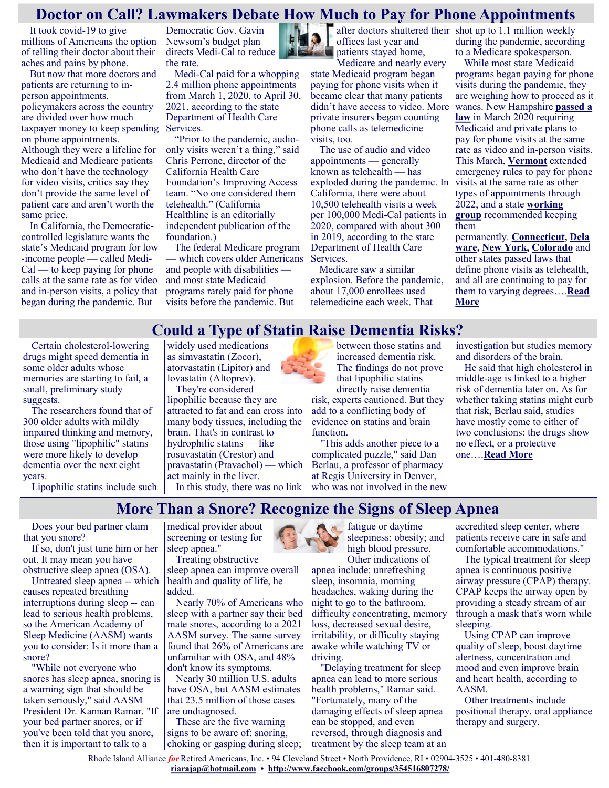#### **Doctor on Call? Lawmakers Debate How Much to Pay for Phone Appointments**

It took covid-19 to give millions of Americans the option of telling their doctor about their aches and pains by phone.

But now that more doctors and patients are returning to inperson appointments, policymakers across the country are divided over how much taxpayer money to keep spending on phone appointments. Although they were a lifeline for Medicaid and Medicare patients who don't have the technology for video visits, critics say they don't provide the same level of patient care and aren't worth the same price.

In California, the Democraticcontrolled legislature wants the state's Medicaid program for low -income people — called Medi- $Cal$  — to keep paying for phone calls at the same rate as for video and in-person visits, a policy that began during the pandemic. But

Democratic Gov. Gavin Newsom's budget plan directs Medi-Cal to reduce the rate.

Medi-Cal paid for a whopping 2.4 million phone appointments from March 1, 2020, to April 30, 2021, according to the state Department of Health Care Services.

"Prior to the pandemic, audioonly visits weren't a thing," said Chris Perrone, director of the California Health Care Foundation's Improving Access team. "No one considered them telehealth." (California Healthline is an editorially independent publication of the foundation.)

The federal Medicare program which covers older Americans and people with disabilities and most state Medicaid programs rarely paid for phone visits before the pandemic. But

offices last year and **ALL** patients stayed home,

Medicare and nearly every state Medicaid program began paying for phone visits when it became clear that many patients didn't have access to video. More private insurers began counting phone calls as telemedicine visits, too.

The use of audio and video appointments — generally known as telehealth — has exploded during the pandemic. In California, there were about 10,500 telehealth visits a week per 100,000 Medi-Cal patients in 2020, compared with about 300 in 2019, according to the state Department of Health Care Services.

Medicare saw a similar explosion. Before the pandemic, about 17,000 enrollees used telemedicine each week. That

after doctors shuttered their shot up to  $1.1$  million weekly during the pandemic, according to a Medicare spokesperson.

> While most state Medicaid programs began paying for phone visits during the pandemic, they are weighing how to proceed as it wanes. New Hampshire **[passed a](http://gencourt.state.nh.us/bill_status/billText.aspx?sy=2020&id=1180&txtFormat=html)  [law](http://gencourt.state.nh.us/bill_status/billText.aspx?sy=2020&id=1180&txtFormat=html)** in March 2020 requiring Medicaid and private plans to pay for phone visits at the same rate as video and in-person visits. This March, **[Vermont](https://legislature.vermont.gov/bill/status/2022/S.117)** extended emergency rules to pay for phone visits at the same rate as other types of appointments through 2022, and a state **[working](https://cchp.nyc3.digitaloceanspaces.com/files/2020-12/Audio%20Only%20Telephone%20Services%20Working%20Group%20Report.pdf)  [group](https://cchp.nyc3.digitaloceanspaces.com/files/2020-12/Audio%20Only%20Telephone%20Services%20Working%20Group%20Report.pdf)** recommended keeping them

permanently. **[Connecticut,](https://www.cga.ct.gov/2021/ACT/PA/PDF/2021PA-00009-R00HB-05596-PA.PDF) [Dela](https://legis.delaware.gov/json/BillDetail/GenerateHtmlDocument?legislationId=48176&legislationTypeId=6&docTypeId=2&legislationName=HS1) [ware,](https://legis.delaware.gov/json/BillDetail/GenerateHtmlDocument?legislationId=48176&legislationTypeId=6&docTypeId=2&legislationName=HS1) [New York,](https://www.nysenate.gov/legislation/bills/2019/s8416) [Colorado](https://drive.google.com/file/d/1RPT0thkoQv5bRU9GWh0Wr1UcVvPVjQoo/view)** and other states passed laws that define phone visits as telehealth, and all are continuing to pay for them to varying degrees….**[Read](https://khn.org/news/article/doctor-on-call-lawmakers-debate-how-much-to-pay-for-phone-appointments/)  [More](https://khn.org/news/article/doctor-on-call-lawmakers-debate-how-much-to-pay-for-phone-appointments/)**

Certain cholesterol-lowering drugs might speed dementia in some older adults whose memories are starting to fail, a small, preliminary study suggests.

The researchers found that of 300 older adults with mildly impaired thinking and memory, those using "lipophilic" statins were more likely to develop dementia over the next eight years.

Lipophilic statins include such

widely used medications as simvastatin (Zocor), atorvastatin (Lipitor) and lovastatin (Altoprev).

They're considered lipophilic because they are attracted to fat and can cross into many body tissues, including the brain. That's in contrast to hydrophilic statins — like rosuvastatin (Crestor) and pravastatin (Pravachol) — which act mainly in the liver. In this study, there was no link

between those statins and increased dementia risk. The findings do not prove that lipophilic statins directly raise dementia

risk, experts cautioned. But they add to a conflicting body of evidence on statins and brain function.

"This adds another piece to a complicated puzzle," said Dan Berlau, a professor of pharmacy at Regis University in Denver, who was not involved in the new investigation but studies memory and disorders of the brain.

He said that high cholesterol in middle-age is linked to a higher risk of dementia later on. As for whether taking statins might curb that risk, Berlau said, studies have mostly come to either of two conclusions: the drugs show no effect, or a protective one….**[Read More](https://consumer.healthday.com/6-15-could-a-type-of-statin-raise-dementia-risks-2653322978.html)**

## **More Than a Snore? Recognize the Signs of Sleep Apnea**

**Could a Type of Statin Raise Dementia Risks?**

Does your bed partner claim that you snore?

If so, don't just tune him or her out. It may mean you have obstructive sleep apnea (OSA).

Untreated sleep apnea -- which causes repeated breathing interruptions during sleep -- can lead to serious health problems, so the American Academy of Sleep Medicine (AASM) wants you to consider: Is it more than a snore?

"While not everyone who snores has sleep apnea, snoring is a warning sign that should be taken seriously," said AASM President Dr. Kannan Ramar. "If your bed partner snores, or if you've been told that you snore, then it is important to talk to a

medical provider about screening or testing for sleep apnea." Treating obstructive

sleep apnea can improve overall health and quality of life, he added.

Nearly 70% of Americans who sleep with a partner say their bed mate snores, according to a 2021 AASM survey. The same survey found that 26% of Americans are unfamiliar with OSA, and 48% don't know its symptoms.

Nearly 30 million U.S. adults have OSA, but AASM estimates that 23.5 million of those cases are undiagnosed.

These are the five warning signs to be aware of: snoring, choking or gasping during sleep; fatigue or daytime sleepiness; obesity; and high blood pressure. Other indications of

apnea include: unrefreshing sleep, insomnia, morning headaches, waking during the night to go to the bathroom, difficulty concentrating, memory loss, decreased sexual desire, irritability, or difficulty staying awake while watching TV or driving.

"Delaying treatment for sleep apnea can lead to more serious health problems," Ramar said. "Fortunately, many of the damaging effects of sleep apnea can be stopped, and even reversed, through diagnosis and treatment by the sleep team at an accredited sleep center, where patients receive care in safe and comfortable accommodations."

The typical treatment for sleep apnea is continuous positive airway pressure (CPAP) therapy. CPAP keeps the airway open by providing a steady stream of air through a mask that's worn while sleeping.

Using CPAP can improve quality of sleep, boost daytime alertness, concentration and mood and even improve brain and heart health, according to AASM.

Other treatments include positional therapy, oral appliance therapy and surgery.